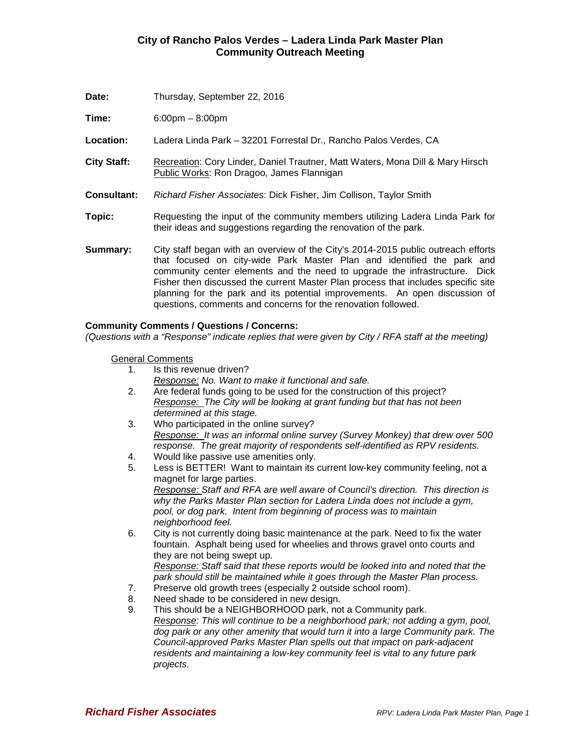| Date:              | Thursday, September 22, 2016                                                                                                                                                                                                                                                                                                                                                                                                                                                   |
|--------------------|--------------------------------------------------------------------------------------------------------------------------------------------------------------------------------------------------------------------------------------------------------------------------------------------------------------------------------------------------------------------------------------------------------------------------------------------------------------------------------|
| Time:              | $6:00 \text{pm} - 8:00 \text{pm}$                                                                                                                                                                                                                                                                                                                                                                                                                                              |
| Location:          | Ladera Linda Park - 32201 Forrestal Dr., Rancho Palos Verdes, CA                                                                                                                                                                                                                                                                                                                                                                                                               |
| <b>City Staff:</b> | Recreation: Cory Linder, Daniel Trautner, Matt Waters, Mona Dill & Mary Hirsch<br>Public Works: Ron Dragoo, James Flannigan                                                                                                                                                                                                                                                                                                                                                    |
| <b>Consultant:</b> | Richard Fisher Associates: Dick Fisher, Jim Collison, Taylor Smith                                                                                                                                                                                                                                                                                                                                                                                                             |
| Topic:             | Requesting the input of the community members utilizing Ladera Linda Park for<br>their ideas and suggestions regarding the renovation of the park.                                                                                                                                                                                                                                                                                                                             |
| Summary:           | City staff began with an overview of the City's 2014-2015 public outreach efforts<br>that focused on city-wide Park Master Plan and identified the park and<br>community center elements and the need to upgrade the infrastructure. Dick<br>Fisher then discussed the current Master Plan process that includes specific site<br>planning for the park and its potential improvements. An open discussion of<br>questions, comments and concerns for the renovation followed. |

#### **Community Comments / Questions / Concerns:**

*(Questions with a "Response" indicate replies that were given by City / RFA staff at the meeting)*

General Comments

- 1. Is this revenue driven?
	- *Response: No. Want to make it functional and safe.*
- 2. Are federal funds going to be used for the construction of this project? *Response: The City will be looking at grant funding but that has not been determined at this stage.*
- 3. Who participated in the online survey? *Response: It was an informal online survey (Survey Monkey) that drew over 500 response. The great majority of respondents self-identified as RPV residents.*
- 4. Would like passive use amenities only.
- 5. Less is BETTER! Want to maintain its current low-key community feeling, not a magnet for large parties. *Response: Staff and RFA are well aware of Council's direction. This direction is why the Parks Master Plan section for Ladera Linda does not include a gym, pool, or dog park. Intent from beginning of process was to maintain neighborhood feel.*
- 6. City is not currently doing basic maintenance at the park. Need to fix the water fountain. Asphalt being used for wheelies and throws gravel onto courts and they are not being swept up. *Response: Staff said that these reports would be looked into and noted that the park should still be maintained while it goes through the Master Plan process.*
- 7. Preserve old growth trees (especially 2 outside school room).
- 8. Need shade to be considered in new design.
- 9. This should be a NEIGHBORHOOD park, not a Community park. *Response: This will continue to be a neighborhood park; not adding a gym, pool, dog park or any other amenity that would turn it into a large Community park. The Council-approved Parks Master Plan spells out that impact on park-adjacent residents and maintaining a low-key community feel is vital to any future park projects.*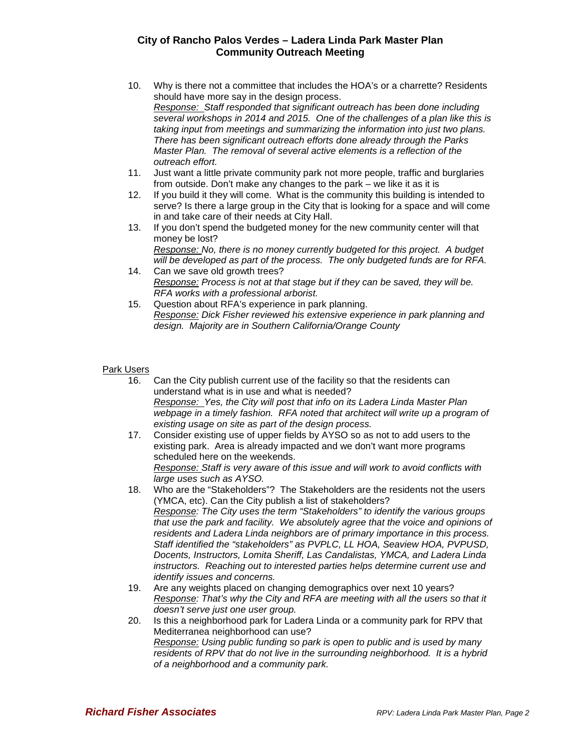- 10. Why is there not a committee that includes the HOA's or a charrette? Residents should have more say in the design process. *Response: Staff responded that significant outreach has been done including several workshops in 2014 and 2015. One of the challenges of a plan like this is taking input from meetings and summarizing the information into just two plans. There has been significant outreach efforts done already through the Parks Master Plan. The removal of several active elements is a reflection of the outreach effort.*
- 11. Just want a little private community park not more people, traffic and burglaries from outside. Don't make any changes to the park – we like it as it is
- 12. If you build it they will come. What is the community this building is intended to serve? Is there a large group in the City that is looking for a space and will come in and take care of their needs at City Hall.
- 13. If you don't spend the budgeted money for the new community center will that money be lost? *Response: No, there is no money currently budgeted for this project. A budget*
- *will be developed as part of the process. The only budgeted funds are for RFA.* 14. Can we save old growth trees?
	- *Response: Process is not at that stage but if they can be saved, they will be. RFA works with a professional arborist.*
- 15. Question about RFA's experience in park planning. *Response: Dick Fisher reviewed his extensive experience in park planning and design. Majority are in Southern California/Orange County*

#### Park Users

- 16. Can the City publish current use of the facility so that the residents can understand what is in use and what is needed? *Response: Yes, the City will post that info on its Ladera Linda Master Plan webpage in a timely fashion. RFA noted that architect will write up a program of existing usage on site as part of the design process.*
- 17. Consider existing use of upper fields by AYSO so as not to add users to the existing park. Area is already impacted and we don't want more programs scheduled here on the weekends. *Response: Staff is very aware of this issue and will work to avoid conflicts with large uses such as AYSO.*
- 18. Who are the "Stakeholders"? The Stakeholders are the residents not the users (YMCA, etc). Can the City publish a list of stakeholders? *Response: The City uses the term "Stakeholders" to identify the various groups that use the park and facility. We absolutely agree that the voice and opinions of residents and Ladera Linda neighbors are of primary importance in this process. Staff identified the "stakeholders" as PVPLC, LL HOA, Seaview HOA, PVPUSD, Docents, Instructors, Lomita Sheriff, Las Candalistas, YMCA, and Ladera Linda instructors. Reaching out to interested parties helps determine current use and identify issues and concerns.*
- 19. Are any weights placed on changing demographics over next 10 years? *Response: That's why the City and RFA are meeting with all the users so that it doesn't serve just one user group.*
- 20. Is this a neighborhood park for Ladera Linda or a community park for RPV that Mediterranea neighborhood can use? *Response: Using public funding so park is open to public and is used by many residents of RPV that do not live in the surrounding neighborhood. It is a hybrid of a neighborhood and a community park.*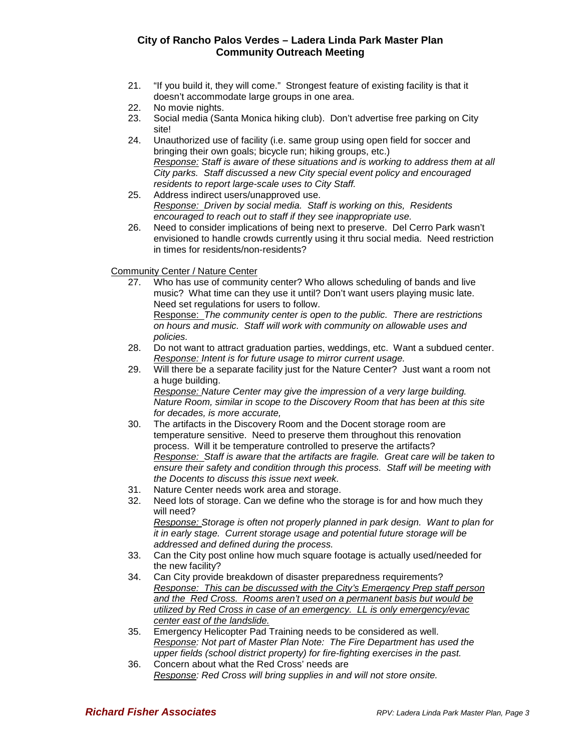- 21. "If you build it, they will come." Strongest feature of existing facility is that it doesn't accommodate large groups in one area.
- 22. No movie nights.
- 23. Social media (Santa Monica hiking club). Don't advertise free parking on City site!
- 24. Unauthorized use of facility (i.e. same group using open field for soccer and bringing their own goals; bicycle run; hiking groups, etc.) *Response: Staff is aware of these situations and is working to address them at all City parks. Staff discussed a new City special event policy and encouraged residents to report large-scale uses to City Staff.*
- 25. Address indirect users/unapproved use. *Response: Driven by social media. Staff is working on this, Residents encouraged to reach out to staff if they see inappropriate use.*
- 26. Need to consider implications of being next to preserve. Del Cerro Park wasn't envisioned to handle crowds currently using it thru social media. Need restriction in times for residents/non-residents?

Community Center / Nature Center

27. Who has use of community center? Who allows scheduling of bands and live music? What time can they use it until? Don't want users playing music late. Need set regulations for users to follow.

Response: *The community center is open to the public. There are restrictions on hours and music. Staff will work with community on allowable uses and policies.*

- 28. Do not want to attract graduation parties, weddings, etc. Want a subdued center. *Response: Intent is for future usage to mirror current usage.*
- 29. Will there be a separate facility just for the Nature Center? Just want a room not a huge building. *Response: Nature Center may give the impression of a very large building. Nature Room, similar in scope to the Discovery Room that has been at this site for decades, is more accurate,*
- 30. The artifacts in the Discovery Room and the Docent storage room are temperature sensitive. Need to preserve them throughout this renovation process. Will it be temperature controlled to preserve the artifacts? *Response: Staff is aware that the artifacts are fragile. Great care will be taken to ensure their safety and condition through this process. Staff will be meeting with the Docents to discuss this issue next week.*
- 31. Nature Center needs work area and storage.
- 32. Need lots of storage. Can we define who the storage is for and how much they will need? *Response: Storage is often not properly planned in park design. Want to plan for it in early stage. Current storage usage and potential future storage will be addressed and defined during the process.*
- 33. Can the City post online how much square footage is actually used/needed for the new facility?
- 34. Can City provide breakdown of disaster preparedness requirements? *Response: This can be discussed with the City's Emergency Prep staff person and the Red Cross. Rooms aren't used on a permanent basis but would be utilized by Red Cross in case of an emergency. LL is only emergency/evac center east of the landslide.*
- 35. Emergency Helicopter Pad Training needs to be considered as well. *Response: Not part of Master Plan Note: The Fire Department has used the upper fields (school district property) for fire-fighting exercises in the past.*
- 36. Concern about what the Red Cross' needs are *Response: Red Cross will bring supplies in and will not store onsite.*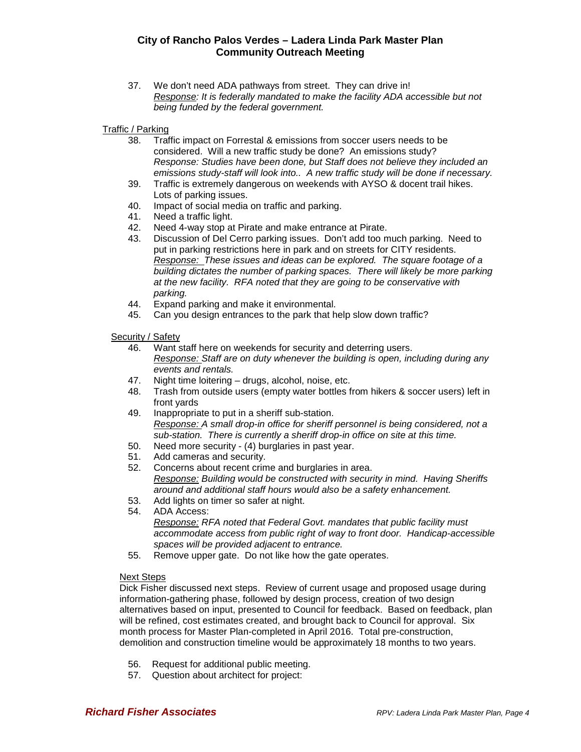- 37. We don't need ADA pathways from street. They can drive in! *Response: It is federally mandated to make the facility ADA accessible but not being funded by the federal government.*
- Traffic / Parking
	- 38. Traffic impact on Forrestal & emissions from soccer users needs to be considered. Will a new traffic study be done? An emissions study? *Response: Studies have been done, but Staff does not believe they included an emissions study-staff will look into.. A new traffic study will be done if necessary.*
	- 39. Traffic is extremely dangerous on weekends with AYSO & docent trail hikes. Lots of parking issues.
	- 40. Impact of social media on traffic and parking.
	- 41. Need a traffic light.
	- 42. Need 4-way stop at Pirate and make entrance at Pirate.
	- 43. Discussion of Del Cerro parking issues. Don't add too much parking. Need to put in parking restrictions here in park and on streets for CITY residents. *Response: These issues and ideas can be explored. The square footage of a building dictates the number of parking spaces. There will likely be more parking at the new facility. RFA noted that they are going to be conservative with parking.*
	- 44. Expand parking and make it environmental.
	- 45. Can you design entrances to the park that help slow down traffic?

Security / Safety

- 46. Want staff here on weekends for security and deterring users. *Response: Staff are on duty whenever the building is open, including during any events and rentals.*
- 47. Night time loitering drugs, alcohol, noise, etc.
- 48. Trash from outside users (empty water bottles from hikers & soccer users) left in front yards
- 49. Inappropriate to put in a sheriff sub-station. *Response: A small drop-in office for sheriff personnel is being considered, not a sub-station. There is currently a sheriff drop-in office on site at this time.*
- 50. Need more security (4) burglaries in past year.
- 51. Add cameras and security.
- 52. Concerns about recent crime and burglaries in area. *Response: Building would be constructed with security in mind. Having Sheriffs around and additional staff hours would also be a safety enhancement.*
- 53. Add lights on timer so safer at night.
- 54. ADA Access: *Response: RFA noted that Federal Govt. mandates that public facility must accommodate access from public right of way to front door. Handicap-accessible spaces will be provided adjacent to entrance.*
- 55. Remove upper gate. Do not like how the gate operates.

#### Next Steps

Dick Fisher discussed next steps. Review of current usage and proposed usage during information-gathering phase, followed by design process, creation of two design alternatives based on input, presented to Council for feedback. Based on feedback, plan will be refined, cost estimates created, and brought back to Council for approval. Six month process for Master Plan-completed in April 2016. Total pre-construction, demolition and construction timeline would be approximately 18 months to two years.

- 56. Request for additional public meeting.
- 57. Question about architect for project: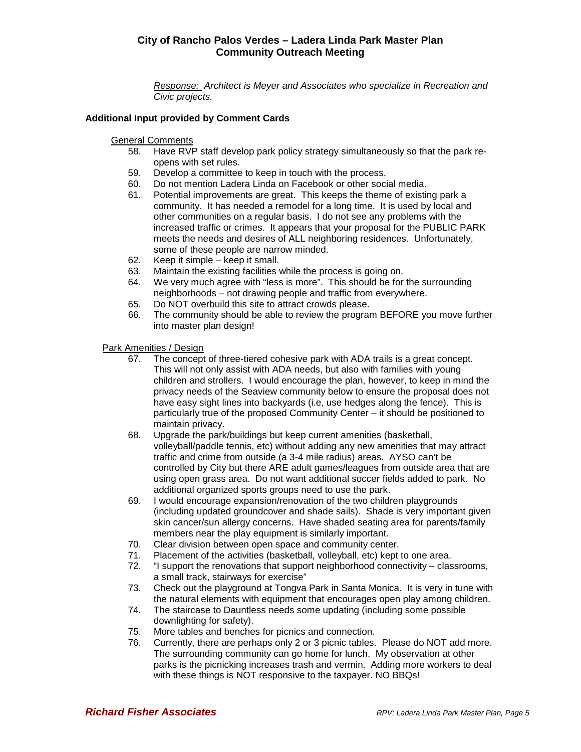*Response: Architect is Meyer and Associates who specialize in Recreation and Civic projects.*

#### **Additional Input provided by Comment Cards**

General Comments

- 58. Have RVP staff develop park policy strategy simultaneously so that the park reopens with set rules.
- 59. Develop a committee to keep in touch with the process.
- 60. Do not mention Ladera Linda on Facebook or other social media.
- Potential improvements are great. This keeps the theme of existing park a community. It has needed a remodel for a long time. It is used by local and other communities on a regular basis. I do not see any problems with the increased traffic or crimes. It appears that your proposal for the PUBLIC PARK meets the needs and desires of ALL neighboring residences. Unfortunately, some of these people are narrow minded.
- 62. Keep it simple keep it small.
- 63. Maintain the existing facilities while the process is going on.
- 64. We very much agree with "less is more". This should be for the surrounding neighborhoods – not drawing people and traffic from everywhere.
- 65. Do NOT overbuild this site to attract crowds please.
- 66. The community should be able to review the program BEFORE you move further into master plan design!

Park Amenities / Design

- 67. The concept of three-tiered cohesive park with ADA trails is a great concept. This will not only assist with ADA needs, but also with families with young children and strollers. I would encourage the plan, however, to keep in mind the privacy needs of the Seaview community below to ensure the proposal does not have easy sight lines into backyards (i.e, use hedges along the fence). This is particularly true of the proposed Community Center – it should be positioned to maintain privacy.
- 68. Upgrade the park/buildings but keep current amenities (basketball, volleyball/paddle tennis, etc) without adding any new amenities that may attract traffic and crime from outside (a 3-4 mile radius) areas. AYSO can't be controlled by City but there ARE adult games/leagues from outside area that are using open grass area. Do not want additional soccer fields added to park. No additional organized sports groups need to use the park.
- 69. I would encourage expansion/renovation of the two children playgrounds (including updated groundcover and shade sails). Shade is very important given skin cancer/sun allergy concerns. Have shaded seating area for parents/family members near the play equipment is similarly important.
- 70. Clear division between open space and community center.
- 71. Placement of the activities (basketball, volleyball, etc) kept to one area.
- 72. "I support the renovations that support neighborhood connectivity classrooms, a small track, stairways for exercise"
- 73. Check out the playground at Tongva Park in Santa Monica. It is very in tune with the natural elements with equipment that encourages open play among children.
- 74. The staircase to Dauntless needs some updating (including some possible downlighting for safety).
- 75. More tables and benches for picnics and connection.
- 76. Currently, there are perhaps only 2 or 3 picnic tables. Please do NOT add more. The surrounding community can go home for lunch. My observation at other parks is the picnicking increases trash and vermin. Adding more workers to deal with these things is NOT responsive to the taxpayer. NO BBQs!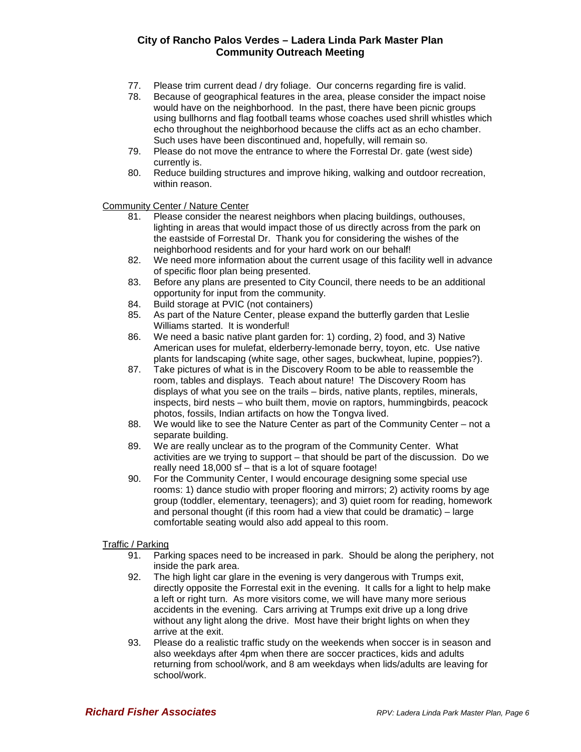- 77. Please trim current dead / dry foliage. Our concerns regarding fire is valid.
- 78. Because of geographical features in the area, please consider the impact noise would have on the neighborhood. In the past, there have been picnic groups using bullhorns and flag football teams whose coaches used shrill whistles which echo throughout the neighborhood because the cliffs act as an echo chamber. Such uses have been discontinued and, hopefully, will remain so.
- 79. Please do not move the entrance to where the Forrestal Dr. gate (west side) currently is.
- 80. Reduce building structures and improve hiking, walking and outdoor recreation, within reason.

Community Center / Nature Center

- 81. Please consider the nearest neighbors when placing buildings, outhouses, lighting in areas that would impact those of us directly across from the park on the eastside of Forrestal Dr. Thank you for considering the wishes of the neighborhood residents and for your hard work on our behalf!
- 82. We need more information about the current usage of this facility well in advance of specific floor plan being presented.
- 83. Before any plans are presented to City Council, there needs to be an additional opportunity for input from the community.
- 84. Build storage at PVIC (not containers)
- 85. As part of the Nature Center, please expand the butterfly garden that Leslie Williams started. It is wonderful!
- 86. We need a basic native plant garden for: 1) cording, 2) food, and 3) Native American uses for mulefat, elderberry-lemonade berry, toyon, etc. Use native plants for landscaping (white sage, other sages, buckwheat, lupine, poppies?).
- 87. Take pictures of what is in the Discovery Room to be able to reassemble the room, tables and displays. Teach about nature! The Discovery Room has displays of what you see on the trails – birds, native plants, reptiles, minerals, inspects, bird nests – who built them, movie on raptors, hummingbirds, peacock photos, fossils, Indian artifacts on how the Tongva lived.
- 88. We would like to see the Nature Center as part of the Community Center not a separate building.
- 89. We are really unclear as to the program of the Community Center. What activities are we trying to support – that should be part of the discussion. Do we really need 18,000 sf – that is a lot of square footage!
- 90. For the Community Center, I would encourage designing some special use rooms: 1) dance studio with proper flooring and mirrors; 2) activity rooms by age group (toddler, elementary, teenagers); and 3) quiet room for reading, homework and personal thought (if this room had a view that could be dramatic) – large comfortable seating would also add appeal to this room.

#### Traffic / Parking

- 91. Parking spaces need to be increased in park. Should be along the periphery, not inside the park area.
- 92. The high light car glare in the evening is very dangerous with Trumps exit, directly opposite the Forrestal exit in the evening. It calls for a light to help make a left or right turn. As more visitors come, we will have many more serious accidents in the evening. Cars arriving at Trumps exit drive up a long drive without any light along the drive. Most have their bright lights on when they arrive at the exit.
- 93. Please do a realistic traffic study on the weekends when soccer is in season and also weekdays after 4pm when there are soccer practices, kids and adults returning from school/work, and 8 am weekdays when lids/adults are leaving for school/work.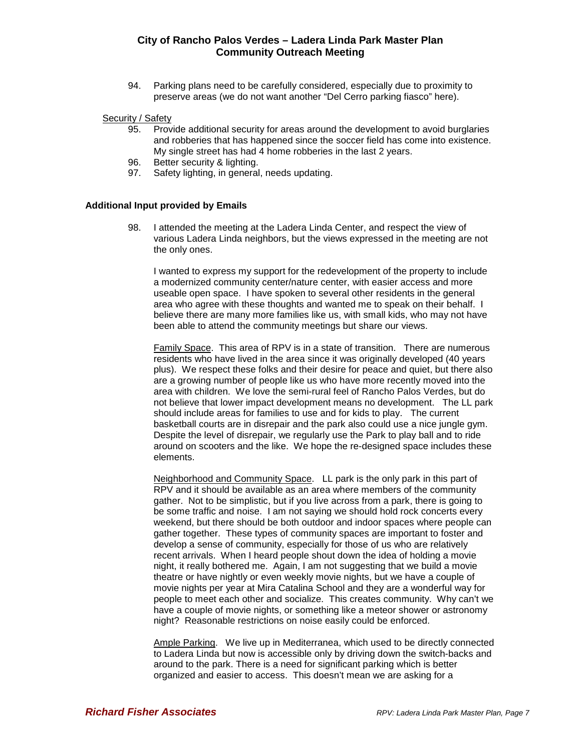94. Parking plans need to be carefully considered, especially due to proximity to preserve areas (we do not want another "Del Cerro parking fiasco" here).

# Security / Safety<br>95. Prov

- 95. Provide additional security for areas around the development to avoid burglaries and robberies that has happened since the soccer field has come into existence. My single street has had 4 home robberies in the last 2 years.
- 96. Better security & lighting.
- 97. Safety lighting, in general, needs updating.

#### **Additional Input provided by Emails**

98. I attended the meeting at the Ladera Linda Center, and respect the view of various Ladera Linda neighbors, but the views expressed in the meeting are not the only ones.

I wanted to express my support for the redevelopment of the property to include a modernized community center/nature center, with easier access and more useable open space. I have spoken to several other residents in the general area who agree with these thoughts and wanted me to speak on their behalf. I believe there are many more families like us, with small kids, who may not have been able to attend the community meetings but share our views.

Family Space. This area of RPV is in a state of transition. There are numerous residents who have lived in the area since it was originally developed (40 years plus). We respect these folks and their desire for peace and quiet, but there also are a growing number of people like us who have more recently moved into the area with children. We love the semi-rural feel of Rancho Palos Verdes, but do not believe that lower impact development means no development. The LL park should include areas for families to use and for kids to play. The current basketball courts are in disrepair and the park also could use a nice jungle gym. Despite the level of disrepair, we regularly use the Park to play ball and to ride around on scooters and the like. We hope the re-designed space includes these elements.

Neighborhood and Community Space. LL park is the only park in this part of RPV and it should be available as an area where members of the community gather. Not to be simplistic, but if you live across from a park, there is going to be some traffic and noise. I am not saying we should hold rock concerts every weekend, but there should be both outdoor and indoor spaces where people can gather together. These types of community spaces are important to foster and develop a sense of community, especially for those of us who are relatively recent arrivals. When I heard people shout down the idea of holding a movie night, it really bothered me. Again, I am not suggesting that we build a movie theatre or have nightly or even weekly movie nights, but we have a couple of movie nights per year at Mira Catalina School and they are a wonderful way for people to meet each other and socialize. This creates community. Why can't we have a couple of movie nights, or something like a meteor shower or astronomy night? Reasonable restrictions on noise easily could be enforced.

Ample Parking. We live up in Mediterranea, which used to be directly connected to Ladera Linda but now is accessible only by driving down the switch-backs and around to the park. There is a need for significant parking which is better organized and easier to access. This doesn't mean we are asking for a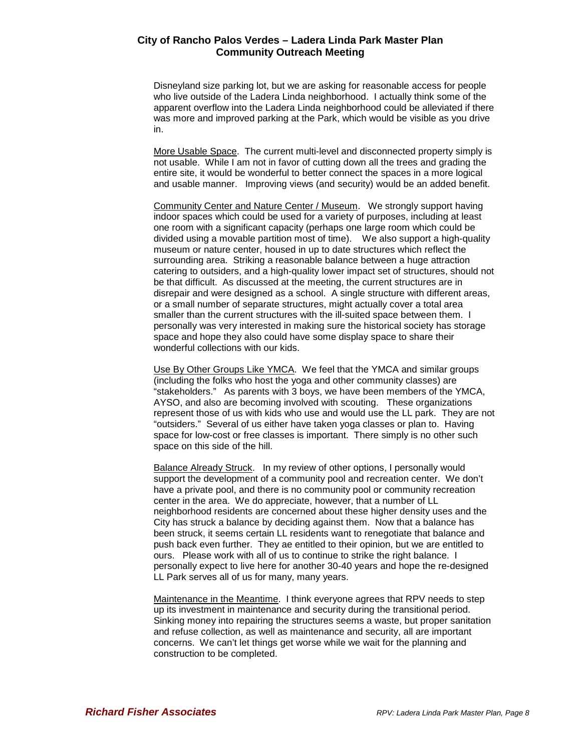Disneyland size parking lot, but we are asking for reasonable access for people who live outside of the Ladera Linda neighborhood. I actually think some of the apparent overflow into the Ladera Linda neighborhood could be alleviated if there was more and improved parking at the Park, which would be visible as you drive in.

More Usable Space. The current multi-level and disconnected property simply is not usable. While I am not in favor of cutting down all the trees and grading the entire site, it would be wonderful to better connect the spaces in a more logical and usable manner. Improving views (and security) would be an added benefit.

Community Center and Nature Center / Museum. We strongly support having indoor spaces which could be used for a variety of purposes, including at least one room with a significant capacity (perhaps one large room which could be divided using a movable partition most of time). We also support a high-quality museum or nature center, housed in up to date structures which reflect the surrounding area. Striking a reasonable balance between a huge attraction catering to outsiders, and a high-quality lower impact set of structures, should not be that difficult. As discussed at the meeting, the current structures are in disrepair and were designed as a school. A single structure with different areas, or a small number of separate structures, might actually cover a total area smaller than the current structures with the ill-suited space between them. I personally was very interested in making sure the historical society has storage space and hope they also could have some display space to share their wonderful collections with our kids.

Use By Other Groups Like YMCA. We feel that the YMCA and similar groups (including the folks who host the yoga and other community classes) are "stakeholders." As parents with 3 boys, we have been members of the YMCA, AYSO, and also are becoming involved with scouting. These organizations represent those of us with kids who use and would use the LL park. They are not "outsiders." Several of us either have taken yoga classes or plan to. Having space for low-cost or free classes is important. There simply is no other such space on this side of the hill.

Balance Already Struck. In my review of other options, I personally would support the development of a community pool and recreation center. We don't have a private pool, and there is no community pool or community recreation center in the area. We do appreciate, however, that a number of LL neighborhood residents are concerned about these higher density uses and the City has struck a balance by deciding against them. Now that a balance has been struck, it seems certain LL residents want to renegotiate that balance and push back even further. They ae entitled to their opinion, but we are entitled to ours. Please work with all of us to continue to strike the right balance. I personally expect to live here for another 30-40 years and hope the re-designed LL Park serves all of us for many, many years.

Maintenance in the Meantime. I think everyone agrees that RPV needs to step up its investment in maintenance and security during the transitional period. Sinking money into repairing the structures seems a waste, but proper sanitation and refuse collection, as well as maintenance and security, all are important concerns. We can't let things get worse while we wait for the planning and construction to be completed.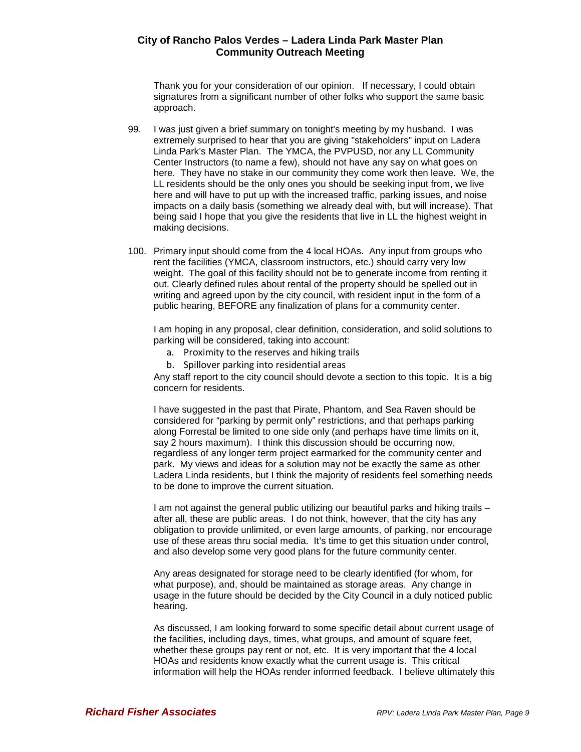Thank you for your consideration of our opinion. If necessary, I could obtain signatures from a significant number of other folks who support the same basic approach.

- 99. I was just given a brief summary on tonight's meeting by my husband. I was extremely surprised to hear that you are giving "stakeholders" input on Ladera Linda Park's Master Plan. The YMCA, the PVPUSD, nor any LL Community Center Instructors (to name a few), should not have any say on what goes on here. They have no stake in our community they come work then leave. We, the LL residents should be the only ones you should be seeking input from, we live here and will have to put up with the increased traffic, parking issues, and noise impacts on a daily basis (something we already deal with, but will increase). That being said I hope that you give the residents that live in LL the highest weight in making decisions.
- 100. Primary input should come from the 4 local HOAs. Any input from groups who rent the facilities (YMCA, classroom instructors, etc.) should carry very low weight. The goal of this facility should not be to generate income from renting it out. Clearly defined rules about rental of the property should be spelled out in writing and agreed upon by the city council, with resident input in the form of a public hearing, BEFORE any finalization of plans for a community center.

I am hoping in any proposal, clear definition, consideration, and solid solutions to parking will be considered, taking into account:

- a. Proximity to the reserves and hiking trails
- b. Spillover parking into residential areas

Any staff report to the city council should devote a section to this topic. It is a big concern for residents.

I have suggested in the past that Pirate, Phantom, and Sea Raven should be considered for "parking by permit only" restrictions, and that perhaps parking along Forrestal be limited to one side only (and perhaps have time limits on it, say 2 hours maximum). I think this discussion should be occurring now, regardless of any longer term project earmarked for the community center and park. My views and ideas for a solution may not be exactly the same as other Ladera Linda residents, but I think the majority of residents feel something needs to be done to improve the current situation.

I am not against the general public utilizing our beautiful parks and hiking trails – after all, these are public areas. I do not think, however, that the city has any obligation to provide unlimited, or even large amounts, of parking, nor encourage use of these areas thru social media. It's time to get this situation under control, and also develop some very good plans for the future community center.

Any areas designated for storage need to be clearly identified (for whom, for what purpose), and, should be maintained as storage areas. Any change in usage in the future should be decided by the City Council in a duly noticed public hearing.

As discussed, I am looking forward to some specific detail about current usage of the facilities, including days, times, what groups, and amount of square feet, whether these groups pay rent or not, etc. It is very important that the 4 local HOAs and residents know exactly what the current usage is. This critical information will help the HOAs render informed feedback. I believe ultimately this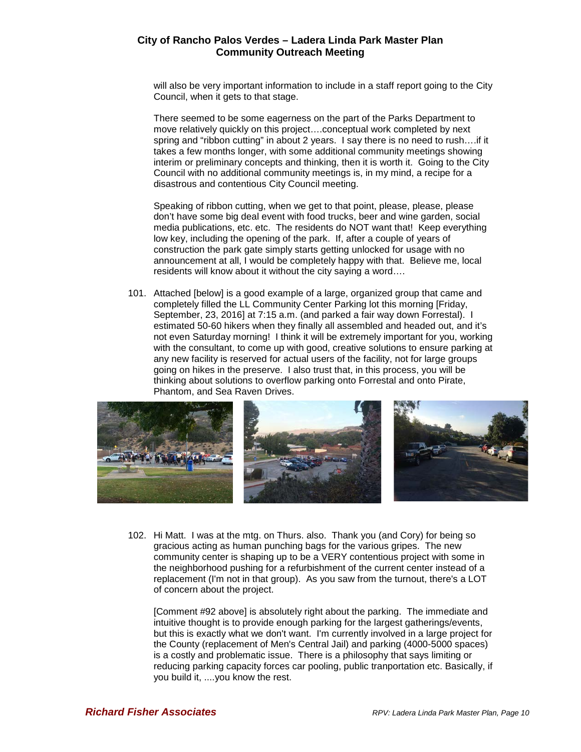will also be very important information to include in a staff report going to the City Council, when it gets to that stage.

There seemed to be some eagerness on the part of the Parks Department to move relatively quickly on this project….conceptual work completed by next spring and "ribbon cutting" in about 2 years. I say there is no need to rush….if it takes a few months longer, with some additional community meetings showing interim or preliminary concepts and thinking, then it is worth it. Going to the City Council with no additional community meetings is, in my mind, a recipe for a disastrous and contentious City Council meeting.

Speaking of ribbon cutting, when we get to that point, please, please, please don't have some big deal event with food trucks, beer and wine garden, social media publications, etc. etc. The residents do NOT want that! Keep everything low key, including the opening of the park. If, after a couple of years of construction the park gate simply starts getting unlocked for usage with no announcement at all, I would be completely happy with that. Believe me, local residents will know about it without the city saying a word….

101. Attached [below] is a good example of a large, organized group that came and completely filled the LL Community Center Parking lot this morning [Friday, September, 23, 2016] at 7:15 a.m. (and parked a fair way down Forrestal). I estimated 50-60 hikers when they finally all assembled and headed out, and it's not even Saturday morning! I think it will be extremely important for you, working with the consultant, to come up with good, creative solutions to ensure parking at any new facility is reserved for actual users of the facility, not for large groups going on hikes in the preserve. I also trust that, in this process, you will be thinking about solutions to overflow parking onto Forrestal and onto Pirate, Phantom, and Sea Raven Drives.



102. Hi Matt. I was at the mtg. on Thurs. also. Thank you (and Cory) for being so gracious acting as human punching bags for the various gripes. The new community center is shaping up to be a VERY contentious project with some in the neighborhood pushing for a refurbishment of the current center instead of a replacement (I'm not in that group). As you saw from the turnout, there's a LOT of concern about the project.

[Comment #92 above] is absolutely right about the parking. The immediate and intuitive thought is to provide enough parking for the largest gatherings/events, but this is exactly what we don't want. I'm currently involved in a large project for the County (replacement of Men's Central Jail) and parking (4000-5000 spaces) is a costly and problematic issue. There is a philosophy that says limiting or reducing parking capacity forces car pooling, public tranportation etc. Basically, if you build it, ....you know the rest.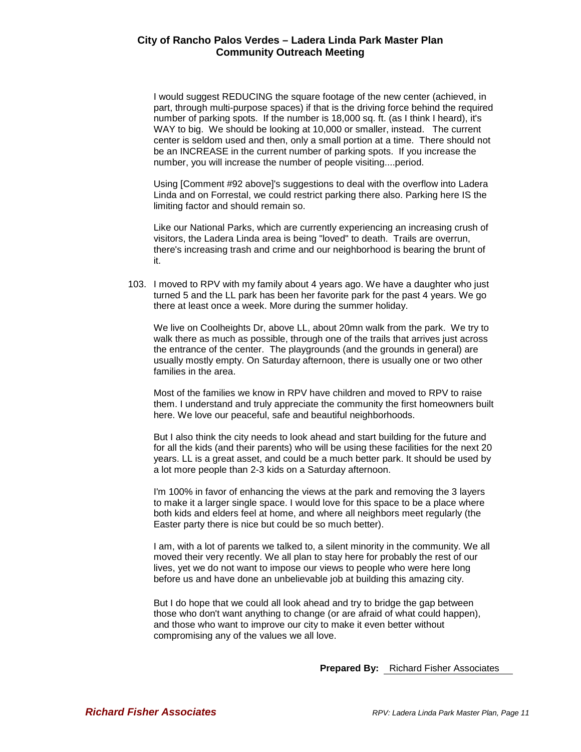I would suggest REDUCING the square footage of the new center (achieved, in part, through multi-purpose spaces) if that is the driving force behind the required number of parking spots. If the number is 18,000 sq. ft. (as I think I heard), it's WAY to big. We should be looking at 10,000 or smaller, instead. The current center is seldom used and then, only a small portion at a time. There should not be an INCREASE in the current number of parking spots. If you increase the number, you will increase the number of people visiting....period.

Using [Comment #92 above]'s suggestions to deal with the overflow into Ladera Linda and on Forrestal, we could restrict parking there also. Parking here IS the limiting factor and should remain so.

Like our National Parks, which are currently experiencing an increasing crush of visitors, the Ladera Linda area is being "loved" to death. Trails are overrun, there's increasing trash and crime and our neighborhood is bearing the brunt of it.

103. I moved to RPV with my family about 4 years ago. We have a daughter who just turned 5 and the LL park has been her favorite park for the past 4 years. We go there at least once a week. More during the summer holiday.

We live on Coolheights Dr, above LL, about 20mn walk from the park. We try to walk there as much as possible, through one of the trails that arrives just across the entrance of the center. The playgrounds (and the grounds in general) are usually mostly empty. On Saturday afternoon, there is usually one or two other families in the area.

Most of the families we know in RPV have children and moved to RPV to raise them. I understand and truly appreciate the community the first homeowners built here. We love our peaceful, safe and beautiful neighborhoods.

But I also think the city needs to look ahead and start building for the future and for all the kids (and their parents) who will be using these facilities for the next 20 years. LL is a great asset, and could be a much better park. It should be used by a lot more people than 2-3 kids on a Saturday afternoon.

I'm 100% in favor of enhancing the views at the park and removing the 3 layers to make it a larger single space. I would love for this space to be a place where both kids and elders feel at home, and where all neighbors meet regularly (the Easter party there is nice but could be so much better).

I am, with a lot of parents we talked to, a silent minority in the community. We all moved their very recently. We all plan to stay here for probably the rest of our lives, yet we do not want to impose our views to people who were here long before us and have done an unbelievable job at building this amazing city.

But I do hope that we could all look ahead and try to bridge the gap between those who don't want anything to change (or are afraid of what could happen), and those who want to improve our city to make it even better without compromising any of the values we all love.

**Prepared By:** Richard Fisher Associates